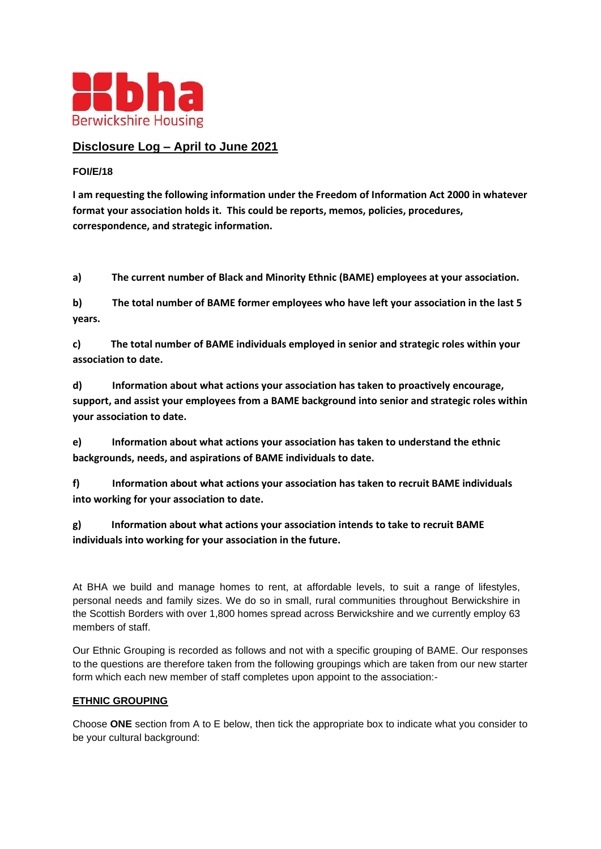

# **Disclosure Log – April to June 2021**

# **FOI/E/18**

**I am requesting the following information under the Freedom of Information Act 2000 in whatever format your association holds it. This could be reports, memos, policies, procedures, correspondence, and strategic information.**

**a) The current number of Black and Minority Ethnic (BAME) employees at your association.**

**b) The total number of BAME former employees who have left your association in the last 5 years.**

**c) The total number of BAME individuals employed in senior and strategic roles within your association to date.**

**d) Information about what actions your association has taken to proactively encourage, support, and assist your employees from a BAME background into senior and strategic roles within your association to date.**

**e) Information about what actions your association has taken to understand the ethnic backgrounds, needs, and aspirations of BAME individuals to date.**

**f) Information about what actions your association has taken to recruit BAME individuals into working for your association to date.**

**g) Information about what actions your association intends to take to recruit BAME individuals into working for your association in the future.**

At BHA we build and manage homes to rent, at affordable levels, to suit a range of lifestyles, personal needs and family sizes. We do so in small, rural communities throughout Berwickshire in the Scottish Borders with over 1,800 homes spread across Berwickshire and we currently employ 63 members of staff.

Our Ethnic Grouping is recorded as follows and not with a specific grouping of BAME. Our responses to the questions are therefore taken from the following groupings which are taken from our new starter form which each new member of staff completes upon appoint to the association:-

## **ETHNIC GROUPING**

Choose **ONE** section from A to E below, then tick the appropriate box to indicate what you consider to be your cultural background: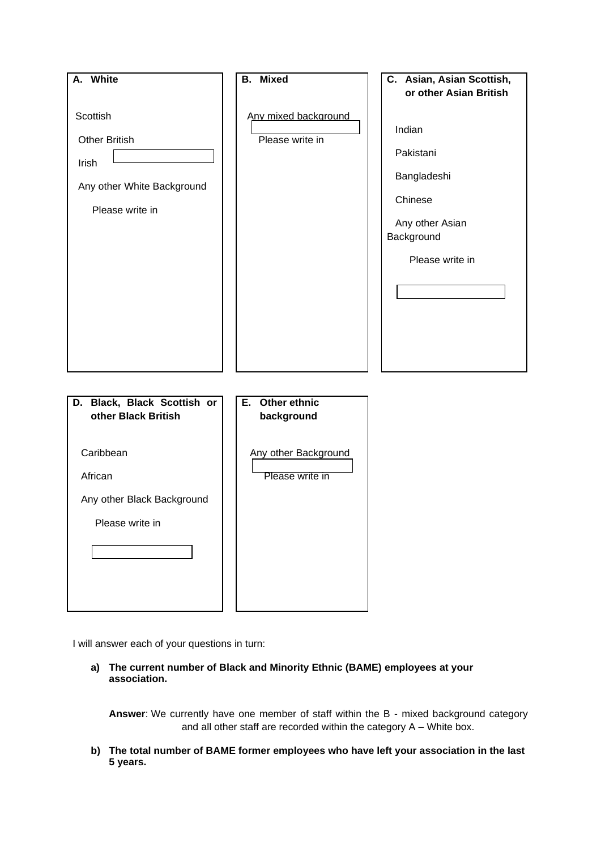

I will answer each of your questions in turn:

**a) The current number of Black and Minority Ethnic (BAME) employees at your association.**

**Answer**: We currently have one member of staff within the B - mixed background category and all other staff are recorded within the category A – White box.

**b) The total number of BAME former employees who have left your association in the last 5 years.**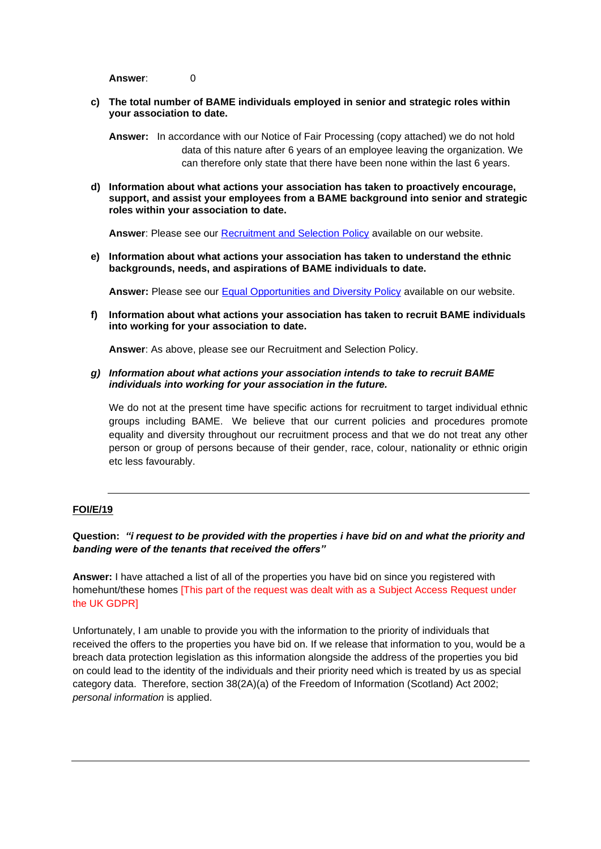**Answer**: 0

**c) The total number of BAME individuals employed in senior and strategic roles within your association to date.**

**Answer:** In accordance with our Notice of Fair Processing (copy attached) we do not hold data of this nature after 6 years of an employee leaving the organization. We can therefore only state that there have been none within the last 6 years.

**d) Information about what actions your association has taken to proactively encourage, support, and assist your employees from a BAME background into senior and strategic roles within your association to date.**

**Answer**: Please see our [Recruitment and Selection Policy](https://www.berwickshirehousing.org.uk/wp-content/uploads/2019/10/Recruitment-and-Selection-Policy-1.pdf) available on our website.

**e) Information about what actions your association has taken to understand the ethnic backgrounds, needs, and aspirations of BAME individuals to date.**

Answer: Please see our **Equal Opportunities and Diversity Policy** available on our website.

**f) Information about what actions your association has taken to recruit BAME individuals into working for your association to date.**

**Answer**: As above, please see our Recruitment and Selection Policy.

*g) Information about what actions your association intends to take to recruit BAME individuals into working for your association in the future.*

We do not at the present time have specific actions for recruitment to target individual ethnic groups including BAME. We believe that our current policies and procedures promote equality and diversity throughout our recruitment process and that we do not treat any other person or group of persons because of their gender, race, colour, nationality or ethnic origin etc less favourably.

## **FOI/E/19**

## **Question:** *"i request to be provided with the properties i have bid on and what the priority and banding were of the tenants that received the offers"*

**Answer:** I have attached a list of all of the properties you have bid on since you registered with homehunt/these homes [This part of the request was dealt with as a Subject Access Request under the UK GDPR]

Unfortunately, I am unable to provide you with the information to the priority of individuals that received the offers to the properties you have bid on. If we release that information to you, would be a breach data protection legislation as this information alongside the address of the properties you bid on could lead to the identity of the individuals and their priority need which is treated by us as special category data. Therefore, section 38(2A)(a) of the Freedom of Information (Scotland) Act 2002; *personal information* is applied.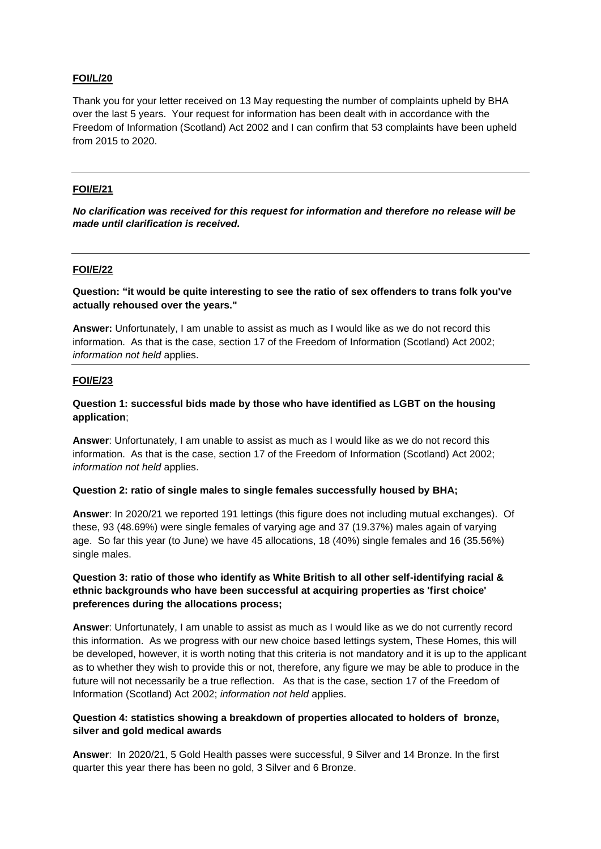## **FOI/L/20**

Thank you for your letter received on 13 May requesting the number of complaints upheld by BHA over the last 5 years. Your request for information has been dealt with in accordance with the Freedom of Information (Scotland) Act 2002 and I can confirm that 53 complaints have been upheld from 2015 to 2020.

#### **FOI/E/21**

*No clarification was received for this request for information and therefore no release will be made until clarification is received.*

#### **FOI/E/22**

**Question: "it would be quite interesting to see the ratio of sex offenders to trans folk you've actually rehoused over the years."**

**Answer:** Unfortunately, I am unable to assist as much as I would like as we do not record this information. As that is the case, section 17 of the Freedom of Information (Scotland) Act 2002; *information not held* applies.

#### **FOI/E/23**

## **Question 1: successful bids made by those who have identified as LGBT on the housing application**;

**Answer**: Unfortunately, I am unable to assist as much as I would like as we do not record this information. As that is the case, section 17 of the Freedom of Information (Scotland) Act 2002; *information not held* applies.

## **Question 2: ratio of single males to single females successfully housed by BHA;**

**Answer**: In 2020/21 we reported 191 lettings (this figure does not including mutual exchanges). Of these, 93 (48.69%) were single females of varying age and 37 (19.37%) males again of varying age. So far this year (to June) we have 45 allocations, 18 (40%) single females and 16 (35.56%) single males.

## **Question 3: ratio of those who identify as White British to all other self-identifying racial & ethnic backgrounds who have been successful at acquiring properties as 'first choice' preferences during the allocations process;**

**Answer**: Unfortunately, I am unable to assist as much as I would like as we do not currently record this information. As we progress with our new choice based lettings system, These Homes, this will be developed, however, it is worth noting that this criteria is not mandatory and it is up to the applicant as to whether they wish to provide this or not, therefore, any figure we may be able to produce in the future will not necessarily be a true reflection. As that is the case, section 17 of the Freedom of Information (Scotland) Act 2002; *information not held* applies.

# **Question 4: statistics showing a breakdown of properties allocated to holders of bronze, silver and gold medical awards**

**Answer**: In 2020/21, 5 Gold Health passes were successful, 9 Silver and 14 Bronze. In the first quarter this year there has been no gold, 3 Silver and 6 Bronze.